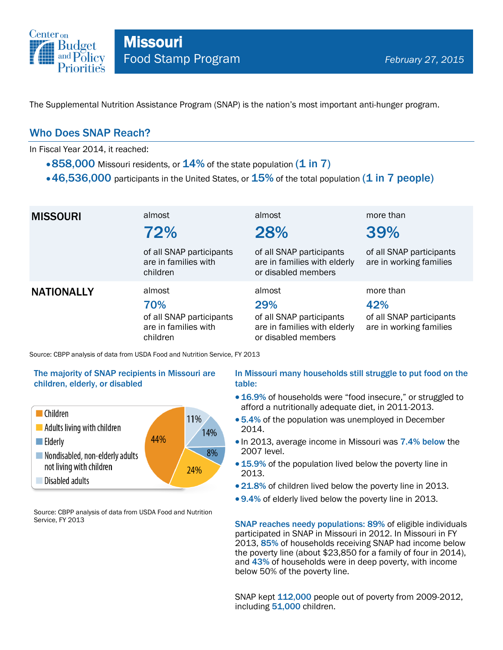

The Supplemental Nutrition Assistance Program (SNAP) is the nation's most important anti-hunger program.

## Who Does SNAP Reach?

In Fiscal Year 2014, it reached:

- $\cdot$  858,000 Missouri residents, or  $14\%$  of the state population (1 in 7)
- $\cdot$  46,536,000 participants in the United States, or  $15\%$  of the total population (1 in 7 people)

| <b>MISSOURI</b>   | almost<br>72%                                                                 | almost<br>28%                                                                                    | more than<br>39%                                                        |
|-------------------|-------------------------------------------------------------------------------|--------------------------------------------------------------------------------------------------|-------------------------------------------------------------------------|
|                   | of all SNAP participants<br>are in families with<br>children                  | of all SNAP participants<br>are in families with elderly<br>or disabled members                  | of all SNAP participants<br>are in working families                     |
| <b>NATIONALLY</b> | almost<br>70%<br>of all SNAP participants<br>are in families with<br>children | almost<br>29%<br>of all SNAP participants<br>are in families with elderly<br>or disabled members | more than<br>42%<br>of all SNAP participants<br>are in working families |

Source: CBPP analysis of data from USDA Food and Nutrition Service, FY 2013

### The majority of SNAP recipients in Missouri are children, elderly, or disabled



Source: CBPP analysis of data from USDA Food and Nutrition Service, FY 2013

### In Missouri many households still struggle to put food on the table:

- 16.9% of households were "food insecure," or struggled to afford a nutritionally adequate diet, in 2011-2013.
- 5.4% of the population was unemployed in December 2014.
- In 2013, average income in Missouri was 7.4% below the 2007 level.
- 15.9% of the population lived below the poverty line in 2013.
- 21.8% of children lived below the poverty line in 2013.
- 9.4% of elderly lived below the poverty line in 2013.

SNAP reaches needy populations: 89% of eligible individuals participated in SNAP in Missouri in 2012. In Missouri in FY 2013, 85% of households receiving SNAP had income below the poverty line (about \$23,850 for a family of four in 2014), and 43% of households were in deep poverty, with income below 50% of the poverty line.

SNAP kept 112,000 people out of poverty from 2009-2012, including 51,000 children.